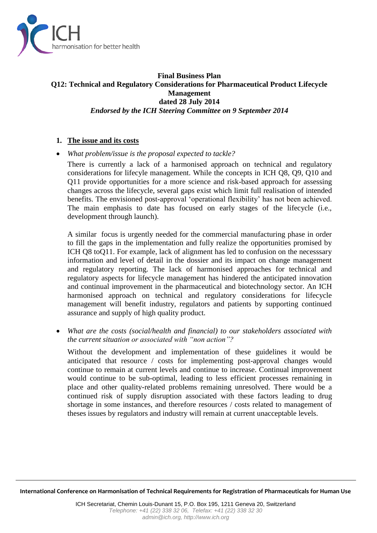

#### **Final Business Plan Q12: Technical and Regulatory Considerations for Pharmaceutical Product Lifecycle Management dated 28 July 2014** *Endorsed by the ICH Steering Committee on 9 September 2014*

#### **1. The issue and its costs**

*What problem/issue is the proposal expected to tackle?*

There is currently a lack of a harmonised approach on technical and regulatory considerations for lifecyle management. While the concepts in ICH Q8, Q9, Q10 and Q11 provide opportunities for a more science and risk-based approach for assessing changes across the lifecycle, several gaps exist which limit full realisation of intended benefits. The envisioned post-approval 'operational flexibility' has not been achieved. The main emphasis to date has focused on early stages of the lifecycle (i.e., development through launch).

A similar focus is urgently needed for the commercial manufacturing phase in order to fill the gaps in the implementation and fully realize the opportunities promised by ICH Q8 toQ11. For example, lack of alignment has led to confusion on the necesssary information and level of detail in the dossier and its impact on change management and regulatory reporting. The lack of harmonised approaches for technical and regulatory aspects for lifecycle management has hindered the anticipated innovation and continual improvement in the pharmaceutical and biotechnology sector. An ICH harmonised approach on technical and regulatory considerations for lifecycle management will benefit industry, regulators and patients by supporting continued assurance and supply of high quality product.

 *What are the costs (social/health and financial) to our stakeholders associated with the current situation or associated with "non action"?*

Without the development and implementation of these guidelines it would be anticipated that resource / costs for implementing post-approval changes would continue to remain at current levels and continue to increase. Continual improvement would continue to be sub-optimal, leading to less efficient processes remaining in place and other quality-related problems remaining unresolved. There would be a continued risk of supply disruption associated with these factors leading to drug shortage in some instances, and therefore resources / costs related to management of theses issues by regulators and industry will remain at current unacceptable levels.

**International Conference on Harmonisation of Technical Requirements for Registration of Pharmaceuticals for Human Use**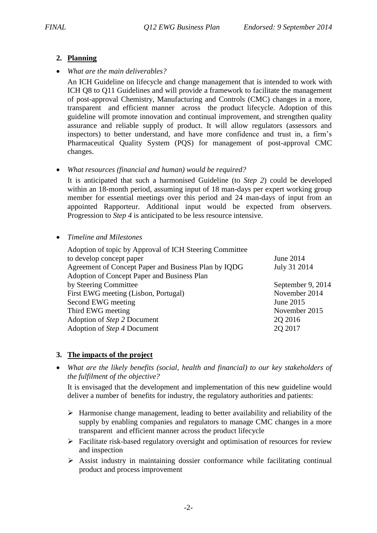# **2. Planning**

*What are the main deliverables?*

An ICH Guideline on lifecycle and change management that is intended to work with ICH Q8 to Q11 Guidelines and will provide a framework to facilitate the management of post-approval Chemistry, Manufacturing and Controls (CMC) changes in a more, transparent and efficient manner across the product lifecycle. Adoption of this guideline will promote innovation and continual improvement, and strengthen quality assurance and reliable supply of product. It will allow regulators (assessors and inspectors) to better understand, and have more confidence and trust in, a firm's Pharmaceutical Quality System (PQS) for management of post-approval CMC changes.

### *What resources (financial and human) would be required?*

It is anticipated that such a harmonised Guideline (to *Step 2*) could be developed within an 18-month period, assuming input of 18 man-days per expert working group member for essential meetings over this period and 24 man-days of input from an appointed Rapporteur. Additional input would be expected from observers. Progression to *Step 4* is anticipated to be less resource intensive.

*Timeline and Milestones*

| Adoption of topic by Approval of ICH Steering Committee |                   |
|---------------------------------------------------------|-------------------|
| to develop concept paper                                | June 2014         |
| Agreement of Concept Paper and Business Plan by IQDG    | July 31 2014      |
| Adoption of Concept Paper and Business Plan             |                   |
| by Steering Committee                                   | September 9, 2014 |
| First EWG meeting (Lisbon, Portugal)                    | November 2014     |
| Second EWG meeting                                      | June 2015         |
| Third EWG meeting                                       | November 2015     |
| Adoption of Step 2 Document                             | 20 20 16          |
| Adoption of Step 4 Document                             | 2Q 2017           |
|                                                         |                   |

# **3. The impacts of the project**

 *What are the likely benefits (social, health and financial) to our key stakeholders of the fulfilment of the objective?*

It is envisaged that the development and implementation of this new guideline would deliver a number of benefits for industry, the regulatory authorities and patients:

- $\triangleright$  Harmonise change management, leading to better availability and reliability of the supply by enabling companies and regulators to manage CMC changes in a more transparent and efficient manner across the product lifecycle
- $\triangleright$  Facilitate risk-based regulatory oversight and optimisation of resources for review and inspection
- $\triangleright$  Assist industry in maintaining dossier conformance while facilitating continual product and process improvement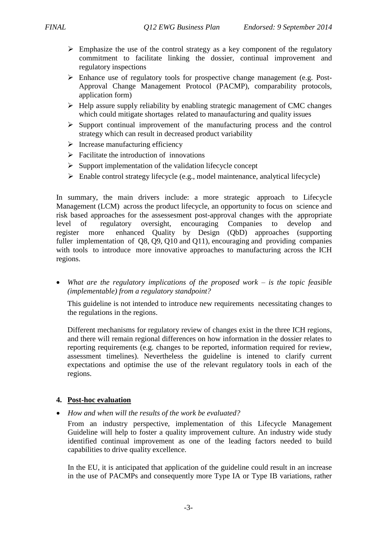- $\triangleright$  Emphasize the use of the control strategy as a key component of the regulatory commitment to facilitate linking the dossier, continual improvement and regulatory inspections
- $\triangleright$  Enhance use of regulatory tools for prospective change management (e.g. Post-Approval Change Management Protocol (PACMP), comparability protocols, application form)
- $\triangleright$  Help assure supply reliability by enabling strategic management of CMC changes which could mitigate shortages related to manaufacturing and quality issues
- $\triangleright$  Support continual improvement of the manufacturing process and the control strategy which can result in decreased product variability
- $\triangleright$  Increase manufacturing efficiency
- $\triangleright$  Facilitate the introduction of innovations
- $\triangleright$  Support implementation of the validation lifecycle concept
- $\triangleright$  Enable control strategy lifecycle (e.g., model maintenance, analytical lifecycle)

In summary, the main drivers include: a more strategic approach to Lifecycle Management (LCM) across the product lifecycle, an opportunity to focus on science and risk based approaches for the assessesment post-approval changes with the appropriate level of regulatory oversight, encouraging Companies to develop and register more enhanced Quality by Design (QbD) approaches (supporting fuller implementation of Q8, Q9, Q10 and Q11), encouraging and providing companies with tools to introduce more innovative approaches to manufacturing across the ICH regions.

 *What are the regulatory implications of the proposed work – is the topic feasible (implementable) from a regulatory standpoint?*

This guideline is not intended to introduce new requirements necessitating changes to the regulations in the regions.

Different mechanisms for regulatory review of changes exist in the three ICH regions, and there will remain regional differences on how information in the dossier relates to reporting requirements (e.g. changes to be reported, information required for review, assessment timelines). Nevertheless the guideline is intened to clarify current expectations and optimise the use of the relevant regulatory tools in each of the regions.

### **4. Post-hoc evaluation**

*How and when will the results of the work be evaluated?*

From an industry perspective, implementation of this Lifecycle Management Guideline will help to foster a quality improvement culture. An industry wide study identified continual improvement as one of the leading factors needed to build capabilities to drive quality excellence.

In the EU, it is anticipated that application of the guideline could result in an increase in the use of PACMPs and consequently more Type IA or Type IB variations, rather